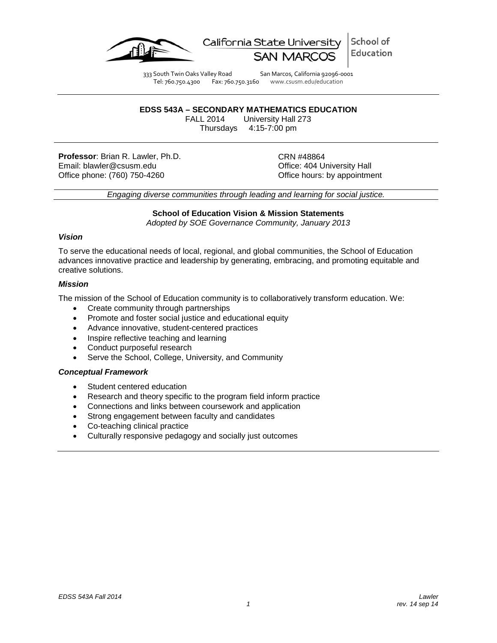

School of California State Universit Education

333 South Twin Oaks Valley Road San Marcos, California 92096-0001 Tel: 760.750.4300 Fax: 760.750.3160 www.csusm.edu/education

# **EDSS 543A – SECONDARY MATHEMATICS EDUCATION**

University Hall 273 Thursdays 4:15-7:00 pm

**Professor**: Brian R. Lawler, Ph.D. CRN #48864<br>
Email: blawler@csusm.edu Christian Control Control Control Control Control Control Control Control Control Co Email: blawler@csusm.edu Office phone: (760) 750-4260 **Office hours:** by appointment

*Engaging diverse communities through leading and learning for social justice.*

# **School of Education Vision & Mission Statements**

*Adopted by SOE Governance Community, January 2013*

## *Vision*

To serve the educational needs of local, regional, and global communities, the School of Education advances innovative practice and leadership by generating, embracing, and promoting equitable and creative solutions.

## *Mission*

The mission of the School of Education community is to collaboratively transform education. We:

- Create community through partnerships
- Promote and foster social justice and educational equity
- Advance innovative, student-centered practices
- Inspire reflective teaching and learning
- Conduct purposeful research
- Serve the School, College, University, and Community

# *Conceptual Framework*

- Student centered education
- Research and theory specific to the program field inform practice
- Connections and links between coursework and application
- Strong engagement between faculty and candidates
- Co-teaching clinical practice
- Culturally responsive pedagogy and socially just outcomes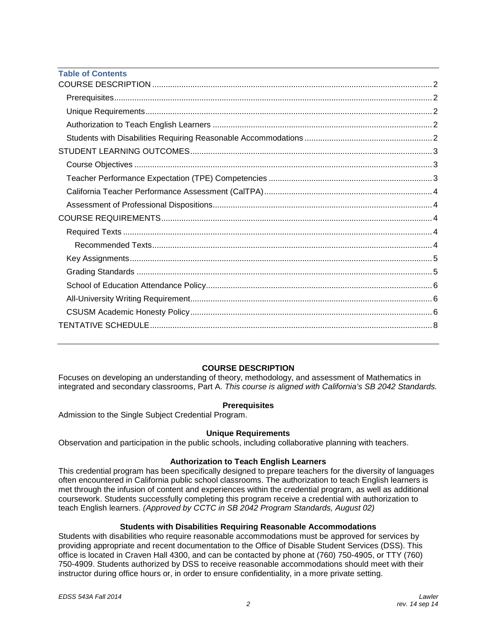| <b>Table of Contents</b> |  |
|--------------------------|--|
|                          |  |
|                          |  |
|                          |  |
|                          |  |
|                          |  |
|                          |  |
|                          |  |
|                          |  |
|                          |  |
|                          |  |
|                          |  |
|                          |  |
|                          |  |
|                          |  |
|                          |  |
|                          |  |
|                          |  |
|                          |  |
|                          |  |
|                          |  |

# **COURSE DESCRIPTION**

<span id="page-1-0"></span>Focuses on developing an understanding of theory, methodology, and assessment of Mathematics in integrated and secondary classrooms, Part A. *This course is aligned with California's SB 2042 Standards.*

# **Prerequisites**

<span id="page-1-1"></span>Admission to the Single Subject Credential Program.

# **Unique Requirements**

<span id="page-1-2"></span>Observation and participation in the public schools, including collaborative planning with teachers.

# **Authorization to Teach English Learners**

<span id="page-1-3"></span>This credential program has been specifically designed to prepare teachers for the diversity of languages often encountered in California public school classrooms. The authorization to teach English learners is met through the infusion of content and experiences within the credential program, as well as additional coursework. Students successfully completing this program receive a credential with authorization to teach English learners. *(Approved by CCTC in SB 2042 Program Standards, August 02)*

# **Students with Disabilities Requiring Reasonable Accommodations**

<span id="page-1-4"></span>Students with disabilities who require reasonable accommodations must be approved for services by providing appropriate and recent documentation to the Office of Disable Student Services (DSS). This office is located in Craven Hall 4300, and can be contacted by phone at (760) 750-4905, or TTY (760) 750-4909. Students authorized by DSS to receive reasonable accommodations should meet with their instructor during office hours or, in order to ensure confidentiality, in a more private setting.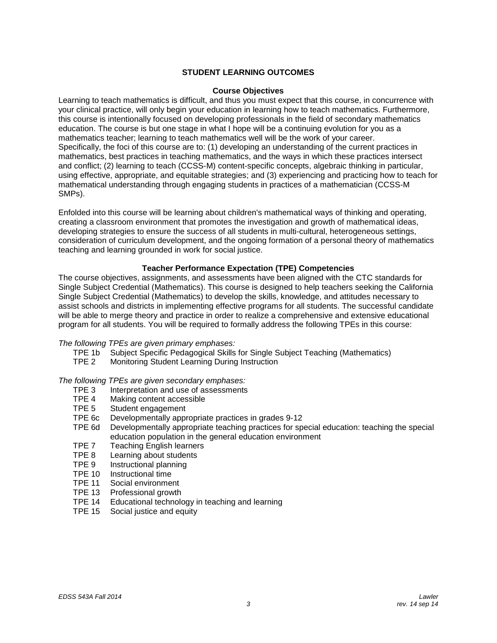## **STUDENT LEARNING OUTCOMES**

#### **Course Objectives**

<span id="page-2-1"></span><span id="page-2-0"></span>Learning to teach mathematics is difficult, and thus you must expect that this course, in concurrence with your clinical practice, will only begin your education in learning how to teach mathematics. Furthermore, this course is intentionally focused on developing professionals in the field of secondary mathematics education. The course is but one stage in what I hope will be a continuing evolution for you as a mathematics teacher; learning to teach mathematics well will be the work of your career. Specifically, the foci of this course are to: (1) developing an understanding of the current practices in mathematics, best practices in teaching mathematics, and the ways in which these practices intersect and conflict; (2) learning to teach (CCSS-M) content-specific concepts, algebraic thinking in particular, using effective, appropriate, and equitable strategies; and (3) experiencing and practicing how to teach for mathematical understanding through engaging students in practices of a mathematician (CCSS-M SMPs).

Enfolded into this course will be learning about children's mathematical ways of thinking and operating, creating a classroom environment that promotes the investigation and growth of mathematical ideas, developing strategies to ensure the success of all students in multi-cultural, heterogeneous settings, consideration of curriculum development, and the ongoing formation of a personal theory of mathematics teaching and learning grounded in work for social justice.

#### **Teacher Performance Expectation (TPE) Competencies**

<span id="page-2-2"></span>The course objectives, assignments, and assessments have been aligned with the CTC standards for Single Subject Credential (Mathematics). This course is designed to help teachers seeking the California Single Subject Credential (Mathematics) to develop the skills, knowledge, and attitudes necessary to assist schools and districts in implementing effective programs for all students. The successful candidate will be able to merge theory and practice in order to realize a comprehensive and extensive educational program for all students. You will be required to formally address the following TPEs in this course:

# *The following TPEs are given primary emphases:*

- TPE 1b Subject Specific Pedagogical Skills for Single Subject Teaching (Mathematics)<br>TPE 2 Monitoring Student Learning During Instruction
- Monitoring Student Learning During Instruction

#### *The following TPEs are given secondary emphases:*

- TPE 3 Interpretation and use of assessments<br>TPF 4 Making content accessible
- TPE 4 Making content accessible<br>TPE 5 Student engagement
- Student engagement
- TPE 6c Developmentally appropriate practices in grades 9-12
- Developmentally appropriate teaching practices for special education: teaching the special education population in the general education environment
- TPE 7 Teaching English learners<br>TPE 8 Learning about students
- TPE 8 Learning about students<br>TPE 9 Instructional planning
- Instructional planning
- TPE 10 Instructional time<br>TPE 11 Social environme
- TPE 11 Social environment<br>TPE 13 Professional growth
- Professional growth
- TPE 14 Educational technology in teaching and learning
- <span id="page-2-3"></span>TPE 15 Social justice and equity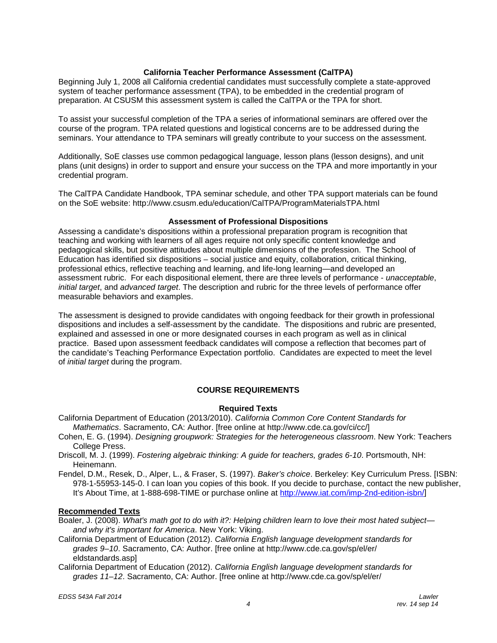## **California Teacher Performance Assessment (CalTPA)**

Beginning July 1, 2008 all California credential candidates must successfully complete a state-approved system of teacher performance assessment (TPA), to be embedded in the credential program of preparation. At CSUSM this assessment system is called the CalTPA or the TPA for short.

To assist your successful completion of the TPA a series of informational seminars are offered over the course of the program. TPA related questions and logistical concerns are to be addressed during the seminars. Your attendance to TPA seminars will greatly contribute to your success on the assessment.

Additionally, SoE classes use common pedagogical language, lesson plans (lesson designs), and unit plans (unit designs) in order to support and ensure your success on the TPA and more importantly in your credential program.

The CalTPA Candidate Handbook, TPA seminar schedule, and other TPA support materials can be found on the SoE website: http://www.csusm.edu/education/CalTPA/ProgramMaterialsTPA.html

#### **Assessment of Professional Dispositions**

<span id="page-3-0"></span>Assessing a candidate's dispositions within a professional preparation program is recognition that teaching and working with learners of all ages require not only specific content knowledge and pedagogical skills, but positive attitudes about multiple dimensions of the profession. The School of Education has identified six dispositions – social justice and equity, collaboration, critical thinking, professional ethics, reflective teaching and learning, and life-long learning—and developed an assessment rubric. For each dispositional element, there are three levels of performance - *unacceptable*, *initial target*, and *advanced target*. The description and rubric for the three levels of performance offer measurable behaviors and examples.

The assessment is designed to provide candidates with ongoing feedback for their growth in professional dispositions and includes a self-assessment by the candidate. The dispositions and rubric are presented, explained and assessed in one or more designated courses in each program as well as in clinical practice. Based upon assessment feedback candidates will compose a reflection that becomes part of the candidate's Teaching Performance Expectation portfolio. Candidates are expected to meet the level of *initial target* during the program.

# **COURSE REQUIREMENTS**

# **Required Texts**

<span id="page-3-2"></span><span id="page-3-1"></span>California Department of Education (2013/2010). *California Common Core Content Standards for Mathematics*. Sacramento, CA: Author. [free online at http://www.cde.ca.gov/ci/cc/]

- Cohen, E. G. (1994). *Designing groupwork: Strategies for the heterogeneous classroom*. New York: Teachers College Press.
- Driscoll, M. J. (1999). *Fostering algebraic thinking: A guide for teachers, grades 6-10*. Portsmouth, NH: Heinemann.
- Fendel, D.M., Resek, D., Alper, L., & Fraser, S. (1997). *Baker's choice*. Berkeley: Key Curriculum Press. [ISBN: 978-1-55953-145-0. I can loan you copies of this book. If you decide to purchase, contact the new publisher, It's About Time, at 1-888-698-TIME or purchase online at [http://www.iat.com/imp-2nd-edition-isbn/\]](http://www.iat.com/imp-2nd-edition-isbn/)

#### <span id="page-3-3"></span>**Recommended Texts**

- Boaler, J. (2008). *What's math got to do with it?: Helping children learn to love their most hated subject and why it's important for America*. New York: Viking.
- California Department of Education (2012). *California English language development standards for grades 9–10*. Sacramento, CA: Author. [free online at http://www.cde.ca.gov/sp/el/er/ eldstandards.asp]
- California Department of Education (2012). *California English language development standards for grades 11–12*. Sacramento, CA: Author. [free online at http://www.cde.ca.gov/sp/el/er/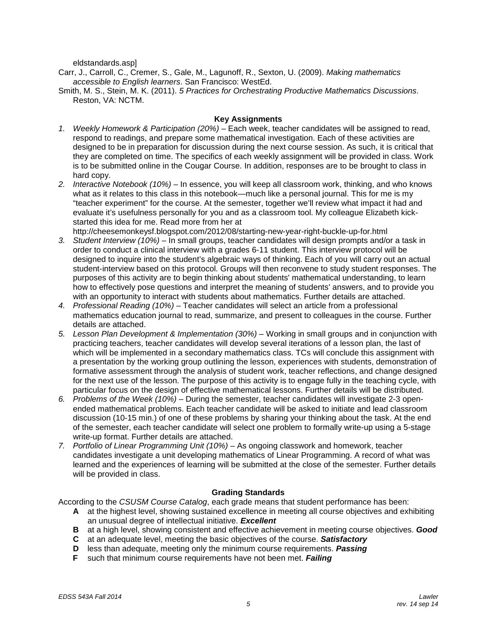eldstandards.asp]

Carr, J., Carroll, C., Cremer, S., Gale, M., Lagunoff, R., Sexton, U. (2009). *Making mathematics accessible to English learners*. San Francisco: WestEd.

Smith, M. S., Stein, M. K. (2011). *5 Practices for Orchestrating Productive Mathematics Discussions*. Reston, VA: NCTM.

#### **Key Assignments**

- <span id="page-4-0"></span>*1. Weekly Homework & Participation (20%)* – Each week, teacher candidates will be assigned to read, respond to readings, and prepare some mathematical investigation. Each of these activities are designed to be in preparation for discussion during the next course session. As such, it is critical that they are completed on time. The specifics of each weekly assignment will be provided in class. Work is to be submitted online in the Cougar Course. In addition, responses are to be brought to class in hard copy.
- *2. Interactive Notebook (10%)*  In essence, you will keep all classroom work, thinking, and who knows what as it relates to this class in this notebook—much like a personal journal. This for me is my "teacher experiment" for the course. At the semester, together we'll review what impact it had and evaluate it's usefulness personally for you and as a classroom tool. My colleague Elizabeth kickstarted this idea for me. Read more from her at

http://cheesemonkeysf.blogspot.com/2012/08/starting-new-year-right-buckle-up-for.html

- *3. Student Interview (10%)* In small groups, teacher candidates will design prompts and/or a task in order to conduct a clinical interview with a grades 6-11 student. This interview protocol will be designed to inquire into the student's algebraic ways of thinking. Each of you will carry out an actual student-interview based on this protocol. Groups will then reconvene to study student responses. The purposes of this activity are to begin thinking about students' mathematical understanding, to learn how to effectively pose questions and interpret the meaning of students' answers, and to provide you with an opportunity to interact with students about mathematics. Further details are attached.
- *4. Professional Reading (10%)* Teacher candidates will select an article from a professional mathematics education journal to read, summarize, and present to colleagues in the course. Further details are attached.
- *5. Lesson Plan Development & Implementation (30%)* Working in small groups and in conjunction with practicing teachers, teacher candidates will develop several iterations of a lesson plan, the last of which will be implemented in a secondary mathematics class. TCs will conclude this assignment with a presentation by the working group outlining the lesson, experiences with students, demonstration of formative assessment through the analysis of student work, teacher reflections, and change designed for the next use of the lesson. The purpose of this activity is to engage fully in the teaching cycle, with particular focus on the design of effective mathematical lessons. Further details will be distributed.
- *6. Problems of the Week (10%)* During the semester, teacher candidates will investigate 2-3 openended mathematical problems. Each teacher candidate will be asked to initiate and lead classroom discussion (10-15 min.) of one of these problems by sharing your thinking about the task. At the end of the semester, each teacher candidate will select one problem to formally write-up using a 5-stage write-up format. Further details are attached.
- *7. Portfolio of Linear Programming Unit (10%)* As ongoing classwork and homework, teacher candidates investigate a unit developing mathematics of Linear Programming. A record of what was learned and the experiences of learning will be submitted at the close of the semester. Further details will be provided in class.

#### **Grading Standards**

<span id="page-4-1"></span>According to the *CSUSM Course Catalog*, each grade means that student performance has been:

- **A** at the highest level, showing sustained excellence in meeting all course objectives and exhibiting an unusual degree of intellectual initiative. *Excellent*
- **B** at a high level, showing consistent and effective achievement in meeting course objectives. *Good*
- **C** at an adequate level, meeting the basic objectives of the course. *Satisfactory*
- **D** less than adequate, meeting only the minimum course requirements. *Passing*
- **F** such that minimum course requirements have not been met. *Failing*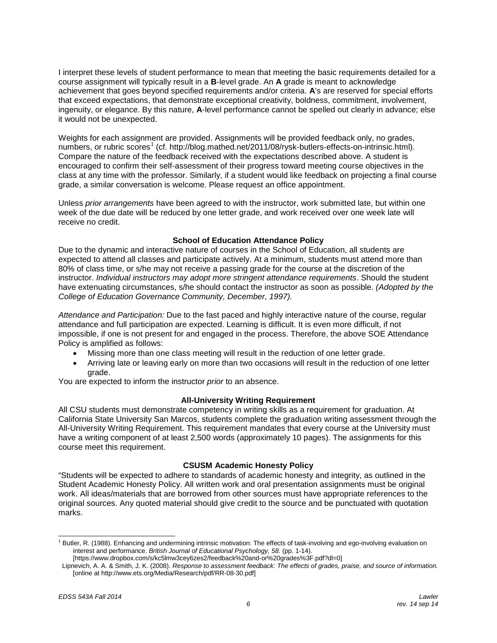I interpret these levels of student performance to mean that meeting the basic requirements detailed for a course assignment will typically result in a **B**-level grade. An **A** grade is meant to acknowledge achievement that goes beyond specified requirements and/or criteria. **A**'s are reserved for special efforts that exceed expectations, that demonstrate exceptional creativity, boldness, commitment, involvement, ingenuity, or elegance. By this nature, **A**-level performance cannot be spelled out clearly in advance; else it would not be unexpected.

Weights for each assignment are provided. Assignments will be provided feedback only, no grades, numbers, or rubric scores<sup>[1](#page-5-3)</sup> (cf. http://blog.mathed.net/2011/08/rysk-butlers-effects-on-intrinsic.html). Compare the nature of the feedback received with the expectations described above. A student is encouraged to confirm their self-assessment of their progress toward meeting course objectives in the class at any time with the professor. Similarly, if a student would like feedback on projecting a final course grade, a similar conversation is welcome. Please request an office appointment.

Unless *prior arrangements* have been agreed to with the instructor, work submitted late, but within one week of the due date will be reduced by one letter grade, and work received over one week late will receive no credit.

## **School of Education Attendance Policy**

<span id="page-5-0"></span>Due to the dynamic and interactive nature of courses in the School of Education, all students are expected to attend all classes and participate actively. At a minimum, students must attend more than 80% of class time, or s/he may not receive a passing grade for the course at the discretion of the instructor. *Individual instructors may adopt more stringent attendance requirements*. Should the student have extenuating circumstances, s/he should contact the instructor as soon as possible. *(Adopted by the College of Education Governance Community, December, 1997).*

*Attendance and Participation:* Due to the fast paced and highly interactive nature of the course, regular attendance and full participation are expected. Learning is difficult. It is even more difficult, if not impossible, if one is not present for and engaged in the process. Therefore, the above SOE Attendance Policy is amplified as follows:

- Missing more than one class meeting will result in the reduction of one letter grade.
- Arriving late or leaving early on more than two occasions will result in the reduction of one letter grade.

You are expected to inform the instructor *prior* to an absence.

#### **All-University Writing Requirement**

<span id="page-5-1"></span>All CSU students must demonstrate competency in writing skills as a requirement for graduation. At California State University San Marcos, students complete the graduation writing assessment through the All-University Writing Requirement. This requirement mandates that every course at the University must have a writing component of at least 2,500 words (approximately 10 pages). The assignments for this course meet this requirement.

#### **CSUSM Academic Honesty Policy**

<span id="page-5-2"></span>"Students will be expected to adhere to standards of academic honesty and integrity, as outlined in the Student Academic Honesty Policy. All written work and oral presentation assignments must be original work. All ideas/materials that are borrowed from other sources must have appropriate references to the original sources. Any quoted material should give credit to the source and be punctuated with quotation marks.

<span id="page-5-3"></span><sup>&</sup>lt;sup>1</sup> Butler, R. (1988). Enhancing and undermining intrinsic motivation: The effects of task-involving and ego-involving evaluation on interest and performance. *British Journal of Educational Psychology, 58.* (pp. 1-14).

<sup>[</sup>https://www.dropbox.com/s/kc5lmw3cey6zes2/feedback%20and-or%20grades%3F.pdf?dl=0]

Lipnevich, A. A. & Smith, J. K. (2008). *Response to assessment feedback: The effects of grades, praise, and source of information.* [online at http://www.ets.org/Media/Research/pdf/RR-08-30.pdf]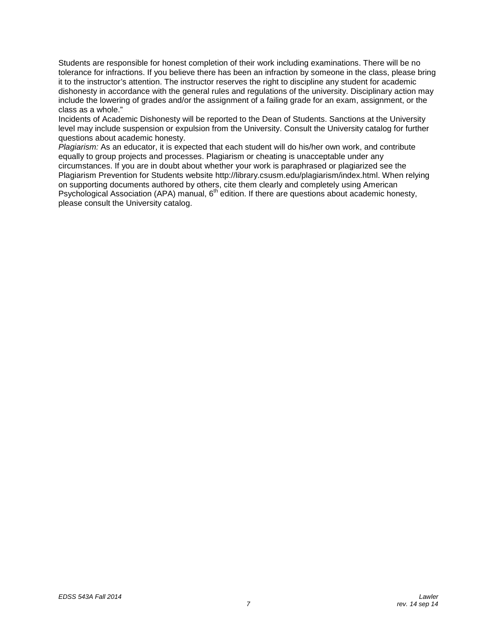Students are responsible for honest completion of their work including examinations. There will be no tolerance for infractions. If you believe there has been an infraction by someone in the class, please bring it to the instructor's attention. The instructor reserves the right to discipline any student for academic dishonesty in accordance with the general rules and regulations of the university. Disciplinary action may include the lowering of grades and/or the assignment of a failing grade for an exam, assignment, or the class as a whole."

Incidents of Academic Dishonesty will be reported to the Dean of Students. Sanctions at the University level may include suspension or expulsion from the University. Consult the University catalog for further questions about academic honesty.

<span id="page-6-0"></span>*Plagiarism:* As an educator, it is expected that each student will do his/her own work, and contribute equally to group projects and processes. Plagiarism or cheating is unacceptable under any circumstances. If you are in doubt about whether your work is paraphrased or plagiarized see the Plagiarism Prevention for Students website http://library.csusm.edu/plagiarism/index.html. When relying on supporting documents authored by others, cite them clearly and completely using American Psychological Association (APA) manual,  $6<sup>th</sup>$  edition. If there are questions about academic honesty, please consult the University catalog.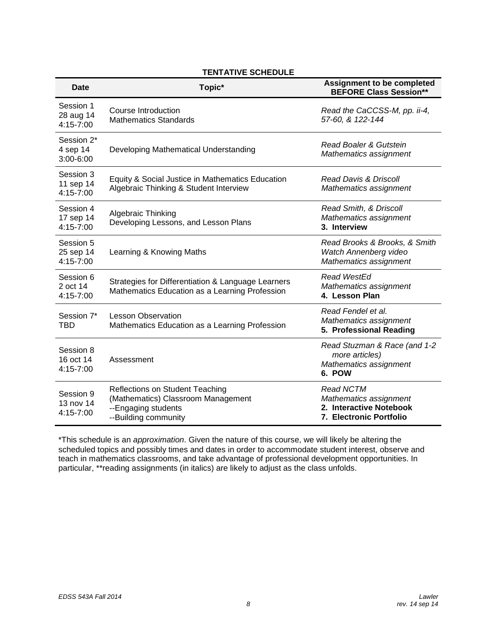| <b>Date</b>                             | Topic*                                                                                                                      | <b>Assignment to be completed</b><br><b>BEFORE Class Session**</b>                               |
|-----------------------------------------|-----------------------------------------------------------------------------------------------------------------------------|--------------------------------------------------------------------------------------------------|
| Session 1<br>28 aug 14<br>4:15-7:00     | <b>Course Introduction</b><br><b>Mathematics Standards</b>                                                                  | Read the CaCCSS-M, pp. ii-4,<br>57-60, & 122-144                                                 |
| Session 2*<br>4 sep 14<br>3:00-6:00     | Developing Mathematical Understanding                                                                                       | Read Boaler & Gutstein<br>Mathematics assignment                                                 |
| Session 3<br>11 sep 14<br>4:15-7:00     | Equity & Social Justice in Mathematics Education<br>Algebraic Thinking & Student Interview                                  | Read Davis & Driscoll<br>Mathematics assignment                                                  |
| Session 4<br>17 sep 14<br>4:15-7:00     | Algebraic Thinking<br>Developing Lessons, and Lesson Plans                                                                  | Read Smith, & Driscoll<br>Mathematics assignment<br>3. Interview                                 |
| Session 5<br>25 sep 14<br>4:15-7:00     | Learning & Knowing Maths                                                                                                    | Read Brooks & Brooks, & Smith<br>Watch Annenberg video<br>Mathematics assignment                 |
| Session 6<br>2 oct 14<br>4:15-7:00      | Strategies for Differentiation & Language Learners<br>Mathematics Education as a Learning Profession                        | Read WestEd<br>Mathematics assignment<br>4. Lesson Plan                                          |
| Session 7*<br>TBD                       | <b>Lesson Observation</b><br>Mathematics Education as a Learning Profession                                                 | Read Fendel et al.<br>Mathematics assignment<br>5. Professional Reading                          |
| Session 8<br>16 oct 14<br>$4:15 - 7:00$ | Assessment                                                                                                                  | Read Stuzman & Race (and 1-2<br>more articles)<br>Mathematics assignment<br>6. POW               |
| Session 9<br>13 nov 14<br>4:15-7:00     | <b>Reflections on Student Teaching</b><br>(Mathematics) Classroom Management<br>--Engaging students<br>--Building community | <b>Read NCTM</b><br>Mathematics assignment<br>2. Interactive Notebook<br>7. Electronic Portfolio |

# **TENTATIVE SCHEDULE**

\*This schedule is an *approximation*. Given the nature of this course, we will likely be altering the scheduled topics and possibly times and dates in order to accommodate student interest, observe and teach in mathematics classrooms, and take advantage of professional development opportunities. In particular, \*\*reading assignments (in italics) are likely to adjust as the class unfolds.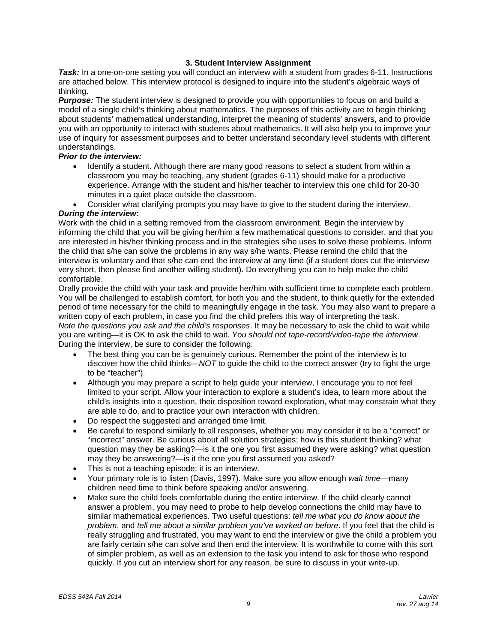## **3. Student Interview Assignment**

**Task:** In a one-on-one setting you will conduct an interview with a student from grades 6-11. Instructions are attached below. This interview protocol is designed to inquire into the student's algebraic ways of thinking.

*Purpose:* The student interview is designed to provide you with opportunities to focus on and build a model of a single child's thinking about mathematics. The purposes of this activity are to begin thinking about students' mathematical understanding, interpret the meaning of students' answers, and to provide you with an opportunity to interact with students about mathematics. It will also help you to improve your use of inquiry for assessment purposes and to better understand secondary level students with different understandings.

## *Prior to the interview:*

- Identify a student. Although there are many good reasons to select a student from within a classroom you may be teaching, any student (grades 6-11) should make for a productive experience. Arrange with the student and his/her teacher to interview this one child for 20-30 minutes in a quiet place outside the classroom.
- Consider what clarifying prompts you may have to give to the student during the interview.

#### *During the interview:*

Work with the child in a setting removed from the classroom environment. Begin the interview by informing the child that you will be giving her/him a few mathematical questions to consider, and that you are interested in his/her thinking process and in the strategies s/he uses to solve these problems. Inform the child that s/he can solve the problems in any way s/he wants. Please remind the child that the interview is voluntary and that s/he can end the interview at any time (if a student does cut the interview very short, then please find another willing student). Do everything you can to help make the child comfortable.

Orally provide the child with your task and provide her/him with sufficient time to complete each problem. You will be challenged to establish comfort, for both you and the student, to think quietly for the extended period of time necessary for the child to meaningfully engage in the task. You may also want to prepare a written copy of each problem, in case you find the child prefers this way of interpreting the task. *Note the questions you ask and the child's responses*. It may be necessary to ask the child to wait while you are writing—it is OK to ask the child to wait. *You should not tape-record/video-tape the interview*. During the interview, be sure to consider the following:

- The best thing you can be is genuinely curious. Remember the point of the interview is to discover how the child thinks—*NOT* to guide the child to the correct answer (try to fight the urge to be "teacher").
- Although you may prepare a script to help guide your interview, I encourage you to not feel limited to your script. Allow your interaction to explore a student's idea, to learn more about the child's insights into a question, their disposition toward exploration, what may constrain what they are able to do, and to practice your own interaction with children.
- Do respect the suggested and arranged time limit.
- Be careful to respond similarly to all responses, whether you may consider it to be a "correct" or "incorrect" answer. Be curious about all solution strategies; how is this student thinking? what question may they be asking?—is it the one you first assumed they were asking? what question may they be answering?—is it the one you first assumed you asked?
- This is not a teaching episode; it is an interview.
- Your primary role is to listen (Davis, 1997). Make sure you allow enough *wait time*—many children need time to think before speaking and/or answering.
- Make sure the child feels comfortable during the entire interview. If the child clearly cannot answer a problem, you may need to probe to help develop connections the child may have to similar mathematical experiences. Two useful questions: *tell me what you do know about the problem*, and *tell me about a similar problem you've worked on before*. If you feel that the child is really struggling and frustrated, you may want to end the interview or give the child a problem you are fairly certain s/he can solve and then end the interview. It is worthwhile to come with this sort of simpler problem, as well as an extension to the task you intend to ask for those who respond quickly. If you cut an interview short for any reason, be sure to discuss in your write-up.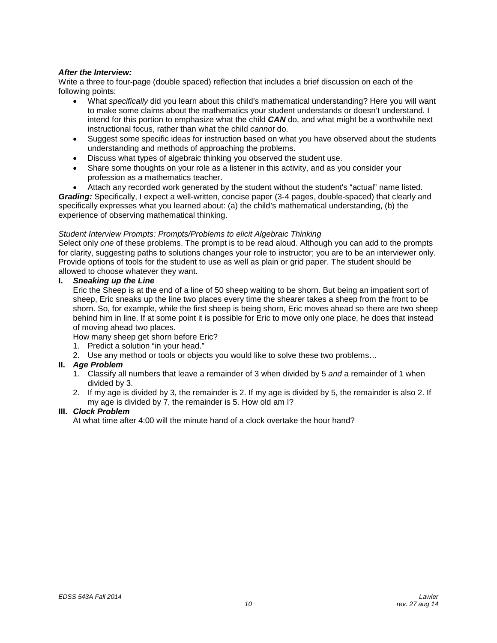## *After the Interview:*

Write a three to four-page (double spaced) reflection that includes a brief discussion on each of the following points:

- What *specifically* did you learn about this child's mathematical understanding? Here you will want to make some claims about the mathematics your student understands or doesn't understand. I intend for this portion to emphasize what the child *CAN* do, and what might be a worthwhile next instructional focus, rather than what the child *cannot* do.
- Suggest some specific ideas for instruction based on what you have observed about the students understanding and methods of approaching the problems.
- Discuss what types of algebraic thinking you observed the student use.
- Share some thoughts on your role as a listener in this activity, and as you consider your profession as a mathematics teacher.
- Attach any recorded work generated by the student without the student's "actual" name listed.

*Grading:* Specifically, I expect a well-written, concise paper (3-4 pages, double-spaced) that clearly and specifically expresses what you learned about: (a) the child's mathematical understanding, (b) the experience of observing mathematical thinking.

#### *Student Interview Prompts: Prompts/Problems to elicit Algebraic Thinking*

Select only *one* of these problems. The prompt is to be read aloud. Although you can add to the prompts for clarity, suggesting paths to solutions changes your role to instructor; you are to be an interviewer only. Provide options of tools for the student to use as well as plain or grid paper. The student should be allowed to choose whatever they want.

## **I.** *Sneaking up the Line*

Eric the Sheep is at the end of a line of 50 sheep waiting to be shorn. But being an impatient sort of sheep, Eric sneaks up the line two places every time the shearer takes a sheep from the front to be shorn. So, for example, while the first sheep is being shorn, Eric moves ahead so there are two sheep behind him in line. If at some point it is possible for Eric to move only one place, he does that instead of moving ahead two places.

How many sheep get shorn before Eric?

- 1. Predict a solution "in your head."
- 2. Use any method or tools or objects you would like to solve these two problems…

#### **II.** *Age Problem*

- 1. Classify all numbers that leave a remainder of 3 when divided by 5 *and* a remainder of 1 when divided by 3.
- 2. If my age is divided by 3, the remainder is 2. If my age is divided by 5, the remainder is also 2. If my age is divided by 7, the remainder is 5. How old am I?

## **III.** *Clock Problem*

At what time after 4:00 will the minute hand of a clock overtake the hour hand?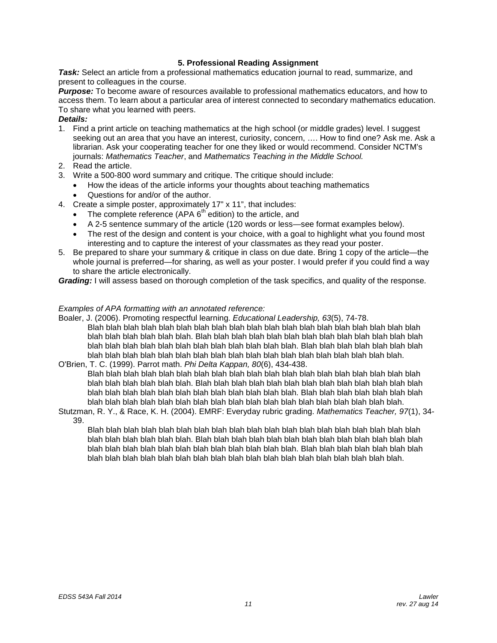# **5. Professional Reading Assignment**

*Task:* Select an article from a professional mathematics education journal to read, summarize, and present to colleagues in the course.

*Purpose:* To become aware of resources available to professional mathematics educators, and how to access them. To learn about a particular area of interest connected to secondary mathematics education. To share what you learned with peers.

## *Details:*

- 1. Find a print article on teaching mathematics at the high school (or middle grades) level. I suggest seeking out an area that you have an interest, curiosity, concern, …. How to find one? Ask me. Ask a librarian. Ask your cooperating teacher for one they liked or would recommend. Consider NCTM's journals: *Mathematics Teacher*, and *Mathematics Teaching in the Middle School.*
- 2. Read the article.
- 3. Write a 500-800 word summary and critique. The critique should include:
	- How the ideas of the article informs your thoughts about teaching mathematics
	- Questions for and/or of the author.
- 4. Create a simple poster, approximately 17" x 11", that includes:
	- The complete reference (APA  $6<sup>th</sup>$  edition) to the article, and
	- A 2-5 sentence summary of the article (120 words or less—see format examples below).
	- The rest of the design and content is your choice, with a goal to highlight what you found most interesting and to capture the interest of your classmates as they read your poster.
- 5. Be prepared to share your summary & critique in class on due date. Bring 1 copy of the article—the whole journal is preferred—for sharing, as well as your poster. I would prefer if you could find a way to share the article electronically.

*Grading:* I will assess based on thorough completion of the task specifics, and quality of the response.

#### *Examples of APA formatting with an annotated reference:*

Boaler, J. (2006). Promoting respectful learning. *Educational Leadership, 63*(5), 74-78. Blah blah blah blah blah blah blah blah blah blah blah blah blah blah blah blah blah blah blah blah blah blah blah blah blah. Blah blah blah blah blah blah blah blah blah blah blah blah blah blah blah blah blah blah blah blah blah blah blah blah blah. Blah blah blah blah blah blah blah blah blah blah blah blah blah blah blah blah blah blah blah blah blah blah blah blah blah.

O'Brien, T. C. (1999). Parrot math. *Phi Delta Kappan, 80*(6), 434-438.

Blah blah blah blah blah blah blah blah blah blah blah blah blah blah blah blah blah blah blah blah blah blah blah blah blah. Blah blah blah blah blah blah blah blah blah blah blah blah blah blah blah blah blah blah blah blah blah blah blah blah blah. Blah blah blah blah blah blah blah blah blah blah blah blah blah blah blah blah blah blah blah blah blah blah blah blah blah.

Stutzman, R. Y., & Race, K. H. (2004). EMRF: Everyday rubric grading. *Mathematics Teacher, 97*(1), 34- 39.

Blah blah blah blah blah blah blah blah blah blah blah blah blah blah blah blah blah blah blah blah blah blah blah blah blah. Blah blah blah blah blah blah blah blah blah blah blah blah blah blah blah blah blah blah blah blah blah blah blah blah blah. Blah blah blah blah blah blah blah blah blah blah blah blah blah blah blah blah blah blah blah blah blah blah blah blah blah.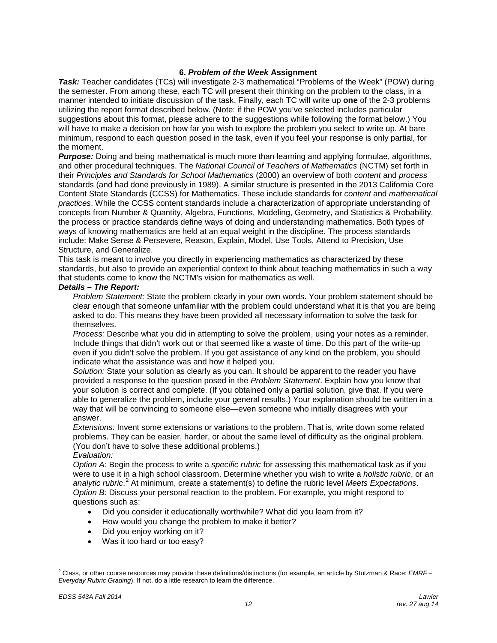## **6.** *Problem of the Week* **Assignment**

**Task:** Teacher candidates (TCs) will investigate 2-3 mathematical "Problems of the Week" (POW) during the semester. From among these, each TC will present their thinking on the problem to the class, in a manner intended to initiate discussion of the task. Finally, each TC will write up **one** of the 2-3 problems utilizing the report format described below. (Note: if the POW you've selected includes particular suggestions about this format, please adhere to the suggestions while following the format below.) You will have to make a decision on how far you wish to explore the problem you select to write up. At bare minimum, respond to each question posed in the task, even if you feel your response is only partial, for the moment.

*Purpose:* Doing and being mathematical is much more than learning and applying formulae, algorithms, and other procedural techniques. The *National Council of Teachers of Mathematics* (NCTM) set forth in their *Principles and Standards for School Mathematics* (2000) an overview of both *content* and *process* standards (and had done previously in 1989). A similar structure is presented in the 2013 California Core Content State Standards (CCSS) for Mathematics. These include standards for *content* and *mathematical practices*. While the CCSS content standards include a characterization of appropriate understanding of concepts from Number & Quantity, Algebra, Functions, Modeling, Geometry, and Statistics & Probability, the process or practice standards define ways of doing and understanding mathematics. Both types of ways of knowing mathematics are held at an equal weight in the discipline. The process standards include: Make Sense & Persevere, Reason, Explain, Model, Use Tools, Attend to Precision, Use Structure, and Generalize.

This task is meant to involve you directly in experiencing mathematics as characterized by these standards, but also to provide an experiential context to think about teaching mathematics in such a way that students come to know the NCTM's vision for mathematics as well.

#### *Details – The Report:*

*Problem Statement:* State the problem clearly in your own words. Your problem statement should be clear enough that someone unfamiliar with the problem could understand what it is that you are being asked to do. This means they have been provided all necessary information to solve the task for themselves.

*Process:* Describe what you did in attempting to solve the problem, using your notes as a reminder. Include things that didn't work out or that seemed like a waste of time. Do this part of the write-up even if you didn't solve the problem. If you get assistance of any kind on the problem, you should indicate what the assistance was and how it helped you.

*Solution:* State your solution as clearly as you can. It should be apparent to the reader you have provided a response to the question posed in the *Problem Statement*. Explain how you know that your solution is correct and complete. (If you obtained only a partial solution, give that. If you were able to generalize the problem, include your general results.) Your explanation should be written in a way that will be convincing to someone else—even someone who initially disagrees with your answer.

*Extensions:* Invent some extensions or variations to the problem. That is, write down some related problems. They can be easier, harder, or about the same level of difficulty as the original problem. (You don't have to solve these additional problems.) *Evaluation:*

*Option A:* Begin the process to write a *specific rubric* for assessing this mathematical task as if you were to use it in a high school classroom. Determine whether you wish to write a *holistic rubric*, or an *analytic rubric*. [2](#page-11-0) At minimum, create a statement(s) to define the rubric level *Meets Expectations*. *Option B:* Discuss your personal reaction to the problem. For example, you might respond to questions such as:

- Did you consider it educationally worthwhile? What did you learn from it?
- How would you change the problem to make it better?
- Did you enjoy working on it?
- Was it too hard or too easy?

<span id="page-11-0"></span> <sup>2</sup> Class, or other course resources may provide these definitions/distinctions (for example, an article by Stutzman & Race: *EMRF – Everyday Rubric Grading*). If not, do a little research to learn the difference.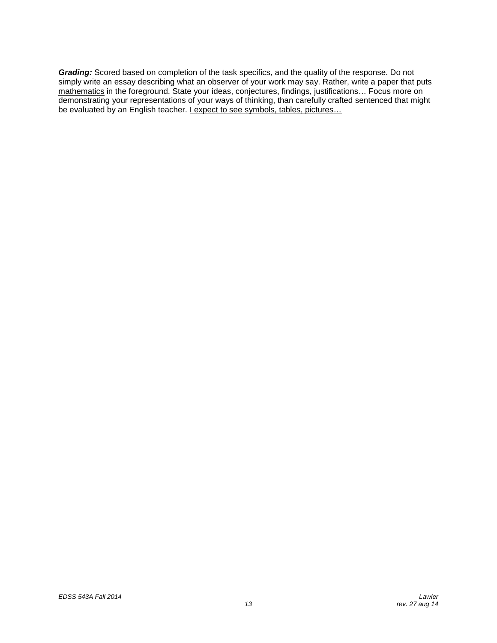*Grading:* Scored based on completion of the task specifics, and the quality of the response. Do not simply write an essay describing what an observer of your work may say. Rather, write a paper that puts mathematics in the foreground. State your ideas, conjectures, findings, justifications… Focus more on demonstrating your representations of your ways of thinking, than carefully crafted sentenced that might be evaluated by an English teacher. I expect to see symbols, tables, pictures...